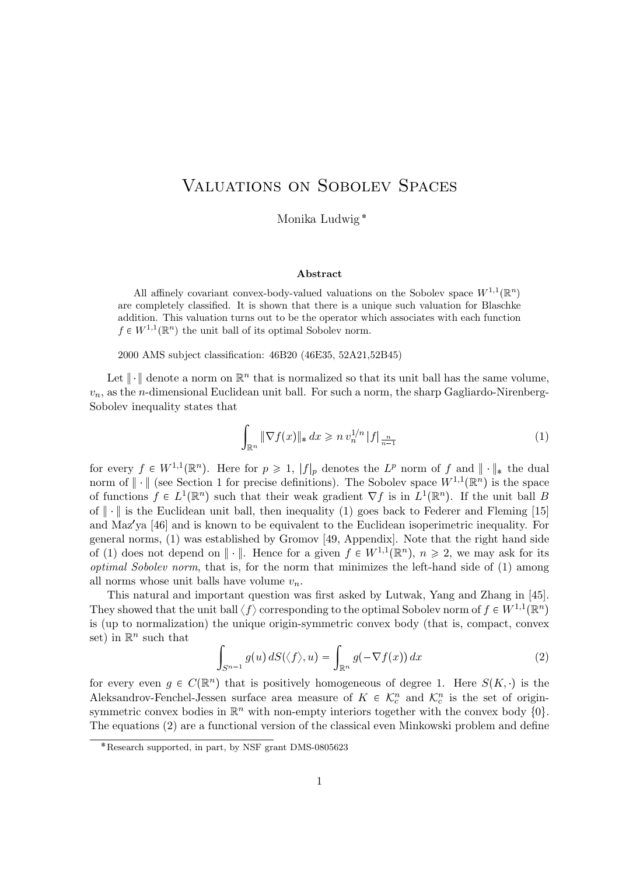## Valuations on Sobolev Spaces

Monika Ludwig

#### Abstract

All affinely covariant convex-body-valued valuations on the Sobolev space  $W^{1,1}(\mathbb{R}^n)$ are completely classified. It is shown that there is a unique such valuation for Blaschke addition. This valuation turns out to be the operator which associates with each function  $f \in W^{1,1}(\mathbb{R}^n)$  the unit ball of its optimal Sobolev norm.

2000 AMS subject classification: 46B20 (46E35, 52A21,52B45)

Let  $\|\cdot\|$  denote a norm on  $\mathbb{R}^n$  that is normalized so that its unit ball has the same volume,  $v_n$ , as the *n*-dimensional Euclidean unit ball. For such a norm, the sharp Gagliardo-Nirenberg-Sobolev inequality states that

$$
\int_{\mathbb{R}^n} \|\nabla f(x)\|_*\,dx \geqslant n \, v_n^{1/n} \, |f|_{\frac{n}{n-1}} \tag{1}
$$

for every  $f \in W^{1,1}(\mathbb{R}^n)$ . Here for  $p \geq 1$ ,  $|f|_p$  denotes the  $L^p$  norm of f and  $\|\cdot\|_*$  the dual norm of  $\|\cdot\|$  (see Section 1 for precise definitions). The Sobolev space  $W^{1,1}(\mathbb{R}^n)$  is the space of functions  $f \in L^1(\mathbb{R}^n)$  such that their weak gradient  $\nabla f$  is in  $L^1(\mathbb{R}^n)$ . If the unit ball B of  $\|\cdot\|$  is the Euclidean unit ball, then inequality (1) goes back to Federer and Fleming [15] and Maz'ya [46] and is known to be equivalent to the Euclidean isoperimetric inequality. For general norms, (1) was established by Gromov [49, Appendix]. Note that the right hand side of (1) does not depend on  $\|\cdot\|$ . Hence for a given  $f \in W^{1,1}(\mathbb{R}^n)$ ,  $n \geq 2$ , we may ask for its optimal Sobolev norm, that is, for the norm that minimizes the left-hand side of (1) among all norms whose unit balls have volume  $v_n$ .

This natural and important question was first asked by Lutwak, Yang and Zhang in [45]. They showed that the unit ball  $\langle f \rangle$  corresponding to the optimal Sobolev norm of  $f \in W^{1,1}(\mathbb{R}^n)$ is (up to normalization) the unique origin-symmetric convex body (that is, compact, convex set) in  $\mathbb{R}^n$  such that

$$
\int_{S^{n-1}} g(u) dS(\langle f \rangle, u) = \int_{\mathbb{R}^n} g(-\nabla f(x)) dx \tag{2}
$$

for every even  $g \in C(\mathbb{R}^n)$  that is positively homogeneous of degree 1. Here  $S(K, \cdot)$  is the Aleksandrov-Fenchel-Jessen surface area measure of  $K \in \mathcal{K}_c^n$  and  $\mathcal{K}_c^n$  is the set of originsymmetric convex bodies in  $\mathbb{R}^n$  with non-empty interiors together with the convex body  $\{0\}$ . The equations (2) are a functional version of the classical even Minkowski problem and define

Research supported, in part, by NSF grant DMS-0805623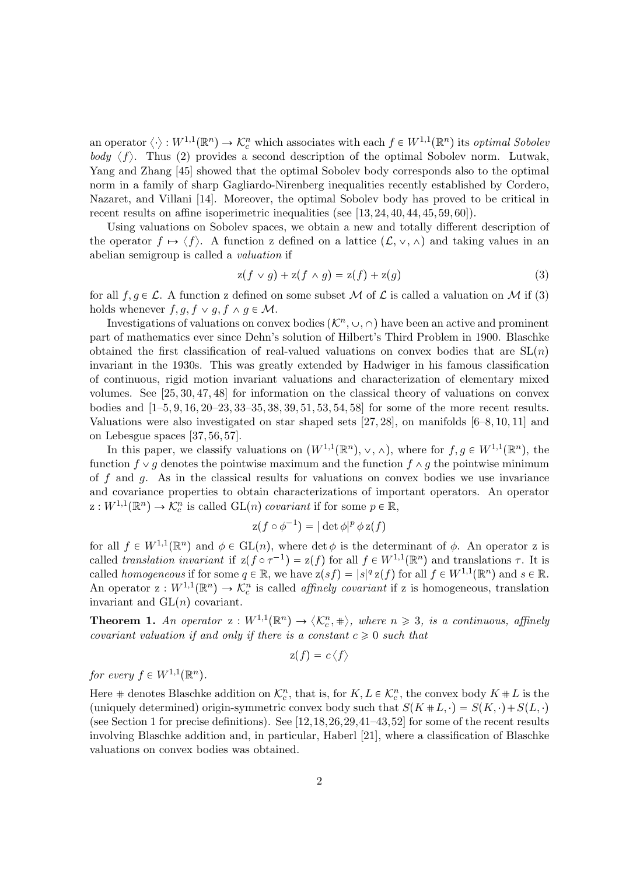an operator  $\langle \cdot \rangle : W^{1,1}(\mathbb{R}^n) \to \mathcal{K}_c^n$  which associates with each  $f \in W^{1,1}(\mathbb{R}^n)$  its *optimal Sobolet* body  $\langle f \rangle$ . Thus (2) provides a second description of the optimal Sobolev norm. Lutwak, Yang and Zhang [45] showed that the optimal Sobolev body corresponds also to the optimal norm in a family of sharp Gagliardo-Nirenberg inequalities recently established by Cordero, Nazaret, and Villani [14]. Moreover, the optimal Sobolev body has proved to be critical in recent results on affine isoperimetric inequalities (see [13, 24, 40, 44, 45, 59, 60]).

Using valuations on Sobolev spaces, we obtain a new and totally different description of the operator  $f \mapsto \langle f \rangle$ . A function z defined on a lattice  $(\mathcal{L}, \vee, \wedge)$  and taking values in an abelian semigroup is called a valuation if

$$
z(f \vee g) + z(f \wedge g) = z(f) + z(g) \tag{3}
$$

for all  $f, g \in \mathcal{L}$ . A function z defined on some subset M of  $\mathcal L$  is called a valuation on M if (3) holds whenever  $f, g, f \vee g, f \wedge g \in \mathcal{M}$ .

Investigations of valuations on convex bodies  $(\mathcal{K}^n, \cup, \cap)$  have been an active and prominent part of mathematics ever since Dehn's solution of Hilbert's Third Problem in 1900. Blaschke obtained the first classification of real-valued valuations on convex bodies that are  $SL(n)$ invariant in the 1930s. This was greatly extended by Hadwiger in his famous classification of continuous, rigid motion invariant valuations and characterization of elementary mixed volumes. See [25, 30, 47, 48] for information on the classical theory of valuations on convex bodies and [1–5, 9, 16, 20–23, 33–35, 38, 39, 51, 53, 54, 58] for some of the more recent results. Valuations were also investigated on star shaped sets  $[27, 28]$ , on manifolds  $[6-8, 10, 11]$  and on Lebesgue spaces [37, 56, 57].

In this paper, we classify valuations on  $(W^{1,1}(\mathbb{R}^n), \vee, \wedge)$ , where for  $f, g \in W^{1,1}(\mathbb{R}^n)$ , the function  $f \vee g$  denotes the pointwise maximum and the function  $f \wedge g$  the pointwise minimum of f and g. As in the classical results for valuations on convex bodies we use invariance and covariance properties to obtain characterizations of important operators. An operator  $z: W^{1,1}(\mathbb{R}^n) \to \mathcal{K}_c^n$  is called  $GL(n)$  covariant if for some  $p \in \mathbb{R}$ ,

$$
z(f \circ \phi^{-1}) = |\det \phi|^p \phi z(f)
$$

for all  $f \in W^{1,1}(\mathbb{R}^n)$  and  $\phi \in GL(n)$ , where det  $\phi$  is the determinant of  $\phi$ . An operator z is called translation invariant if  $z(f \circ \tau^{-1}) = z(f)$  for all  $f \in W^{1,1}(\mathbb{R}^n)$  and translations  $\tau$ . It is called *homogeneous* if for some  $q \in \mathbb{R}$ , we have  $z(sf) = |s|^q z(f)$  for all  $f \in W^{1,1}(\mathbb{R}^n)$  and  $s \in \mathbb{R}$ . An operator  $z: W^{1,1}(\mathbb{R}^n) \to \mathcal{K}_c^n$  is called *affinely covariant* if z is homogeneous, translation invariant and  $GL(n)$  covariant.

**Theorem 1.** An operator  $z: W^{1,1}(\mathbb{R}^n) \to \langle \mathcal{K}_c^n, \# \rangle$ , where  $n \geq 3$ , is a continuous, affinely covariant valuation if and only if there is a constant  $c \geq 0$  such that

$$
\mathrm{z}(f)=c\langle f\rangle
$$

for every  $f \in W^{1,1}(\mathbb{R}^n)$ .

Here  $\#$  denotes Blaschke addition on  $\mathcal{K}_c^n$ , that is, for  $K, L \in \mathcal{K}_c^n$ , the convex body  $K \# L$  is the (uniquely determined) origin-symmetric convex body such that  $S(K \# L, \cdot) = S(K, \cdot) + S(L, \cdot)$ (see Section 1 for precise definitions). See [12,18,26,29,41–43,52] for some of the recent results involving Blaschke addition and, in particular, Haberl [21], where a classification of Blaschke valuations on convex bodies was obtained.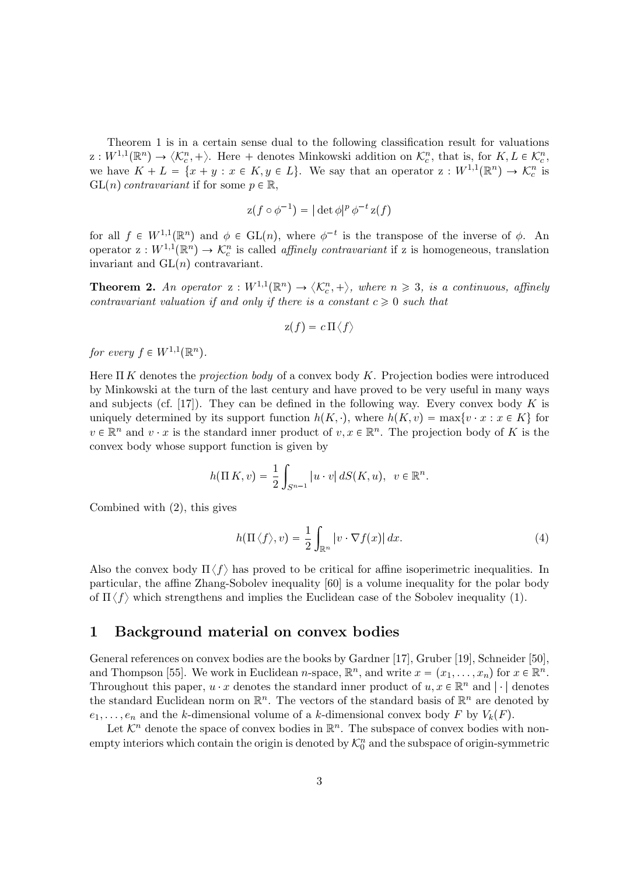Theorem 1 is in a certain sense dual to the following classification result for valuations  $\mathbf{z}: W^{1,1}(\mathbb{R}^n) \to \langle \mathcal{K}_c^n, + \rangle$ . Here + denotes Minkowski addition on  $\mathcal{K}_c^n$ , that is, for  $K, L \in \mathcal{K}_c^n$ , we have  $K + L = \{x + y : x \in K, y \in L\}$ . We say that an operator  $z : W^{1,1}(\mathbb{R}^n) \to \mathcal{K}_c^n$  is  $GL(n)$  contravariant if for some  $p \in \mathbb{R}$ ,

$$
z(f \circ \phi^{-1}) = |\det \phi|^p \phi^{-t} z(f)
$$

for all  $f \in W^{1,1}(\mathbb{R}^n)$  and  $\phi \in GL(n)$ , where  $\phi^{-t}$  is the transpose of the inverse of  $\phi$ . An operator  $z: W^{1,1}(\mathbb{R}^n) \to \mathcal{K}_c^n$  is called *affinely contravariant* if z is homogeneous, translation invariant and  $GL(n)$  contravariant.

**Theorem 2.** An operator  $z: W^{1,1}(\mathbb{R}^n) \to \langle \mathcal{K}_c^n, + \rangle$ , where  $n \geq 3$ , is a continuous, affinely contravariant valuation if and only if there is a constant  $c \geq 0$  such that

$$
\mathrm{z}(f)=c\,\Pi\langle f\rangle
$$

for every  $f \in W^{1,1}(\mathbb{R}^n)$ .

Here  $\Pi K$  denotes the *projection body* of a convex body K. Projection bodies were introduced by Minkowski at the turn of the last century and have proved to be very useful in many ways and subjects (cf. [17]). They can be defined in the following way. Every convex body  $K$  is uniquely determined by its support function  $h(K, \cdot)$ , where  $h(K, v) = \max\{v \cdot x : x \in K\}$  for  $v \in \mathbb{R}^n$  and  $v \cdot x$  is the standard inner product of  $v, x \in \mathbb{R}^n$ . The projection body of K is the convex body whose support function is given by

$$
h(\Pi K, v) = \frac{1}{2} \int_{S^{n-1}} |u \cdot v| \, dS(K, u), \ v \in \mathbb{R}^n.
$$

Combined with (2), this gives

$$
h(\Pi \langle f \rangle, v) = \frac{1}{2} \int_{\mathbb{R}^n} |v \cdot \nabla f(x)| dx.
$$
 (4)

Also the convex body  $\Pi \langle f \rangle$  has proved to be critical for affine isoperimetric inequalities. In particular, the affine Zhang-Sobolev inequality [60] is a volume inequality for the polar body of  $\Pi \langle f \rangle$  which strengthens and implies the Euclidean case of the Sobolev inequality (1).

### 1 Background material on convex bodies

General references on convex bodies are the books by Gardner [17], Gruber [19], Schneider [50], and Thompson [55]. We work in Euclidean *n*-space,  $\mathbb{R}^n$ , and write  $x = (x_1, \ldots, x_n)$  for  $x \in \mathbb{R}^n$ . Throughout this paper,  $u \cdot x$  denotes the standard inner product of  $u, x \in \mathbb{R}^n$  and  $|\cdot|$  denotes the standard Euclidean norm on  $\mathbb{R}^n$ . The vectors of the standard basis of  $\mathbb{R}^n$  are denoted by  $e_1, \ldots, e_n$  and the k-dimensional volume of a k-dimensional convex body F by  $V_k(F)$ .

Let  $\mathcal{K}^n$  denote the space of convex bodies in  $\mathbb{R}^n$ . The subspace of convex bodies with nonempty interiors which contain the origin is denoted by  $\mathcal{K}_0^n$  and the subspace of origin-symmetric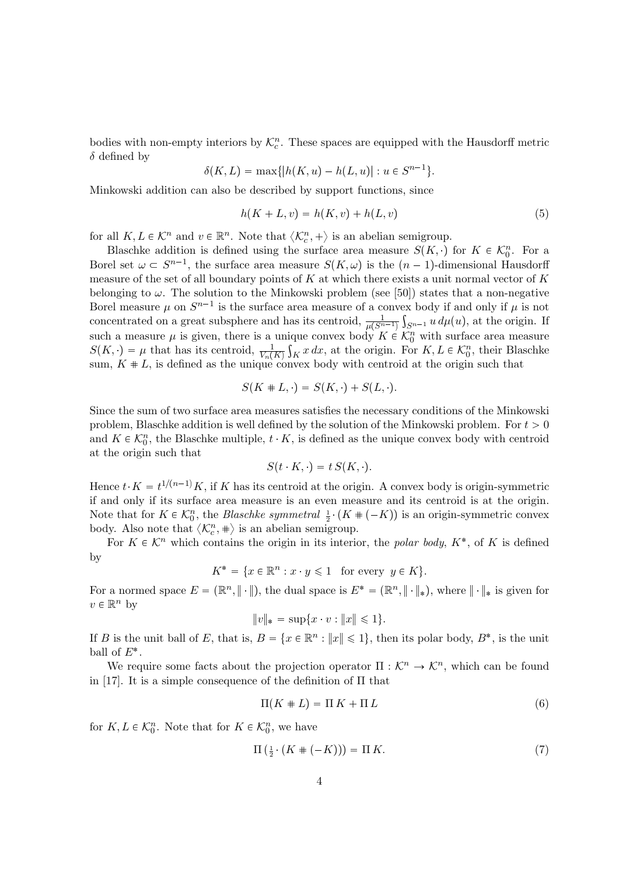bodies with non-empty interiors by  $\mathcal{K}_c^n$ . These spaces are equipped with the Hausdorff metric  $\delta$  defined by

$$
\delta(K, L) = \max\{|h(K, u) - h(L, u)| : u \in S^{n-1}\}.
$$

Minkowski addition can also be described by support functions, since

$$
h(K + L, v) = h(K, v) + h(L, v)
$$
\n(5)

for all  $K, L \in \mathcal{K}^n$  and  $v \in \mathbb{R}^n$ . Note that  $\langle \mathcal{K}_c^n, + \rangle$  is an abelian semigroup.

Blaschke addition is defined using the surface area measure  $S(K, \cdot)$  for  $K \in \mathcal{K}_0^n$ . For a Borel set  $\omega \subset S^{n-1}$ , the surface area measure  $S(K, \omega)$  is the  $(n-1)$ -dimensional Hausdorff measure of the set of all boundary points of  $K$  at which there exists a unit normal vector of  $K$ belonging to  $\omega$ . The solution to the Minkowski problem (see [50]) states that a non-negative Borel measure  $\mu$  on  $S^{n-1}$  is the surface area measure of a convex body if and only if  $\mu$  is not concentrated on a great subsphere and has its centroid,  $\frac{1}{\mu(S^{n-1})} \int_{S^{n-1}} u \, d\mu(u)$ , at the origin. If such a measure  $\mu$  is given, there is a unique convex body  $K \in \mathcal{K}_0^n$  with surface area measure  $S(K, \cdot) = \mu$  that has its centroid,  $\frac{1}{V_n(K)} \int_K x \, dx$ , at the origin. For  $K, L \in \mathcal{K}_0^n$ , their Blaschke sum,  $K \# L$ , is defined as the unique convex body with centroid at the origin such that

$$
S(K \# L, \cdot) = S(K, \cdot) + S(L, \cdot).
$$

Since the sum of two surface area measures satisfies the necessary conditions of the Minkowski problem, Blaschke addition is well defined by the solution of the Minkowski problem. For  $t > 0$ and  $K \in \mathcal{K}_0^n$ , the Blaschke multiple,  $t \cdot K$ , is defined as the unique convex body with centroid at the origin such that

$$
S(t \cdot K, \cdot) = t S(K, \cdot).
$$

Hence  $t \cdot K = t^{1/(n-1)}K$ , if K has its centroid at the origin. A convex body is origin-symmetric if and only if its surface area measure is an even measure and its centroid is at the origin. Note that for  $K \in \mathcal{K}_0^n$ , the *Blaschke symmetral*  $\frac{1}{2} \cdot (K + (-K))$  is an origin-symmetric convex body. Also note that  $\langle \mathcal{K}_c^n, \# \rangle$  is an abelian semigroup.

For  $K \in \mathcal{K}^n$  which contains the origin in its interior, the *polar body*,  $K^*$ , of K is defined by

$$
K^* = \{ x \in \mathbb{R}^n : x \cdot y \leq 1 \quad \text{for every } y \in K \}.
$$

For a normed space  $E = (\mathbb{R}^n, \|\cdot\|)$ , the dual space is  $E^* = (\mathbb{R}^n, \|\cdot\|_*)$ , where  $\|\cdot\|_*$  is given for  $v \in \mathbb{R}^n$  by

$$
||v||_* = \sup\{x \cdot v : ||x|| \le 1\}.
$$

If B is the unit ball of E, that is,  $B = \{x \in \mathbb{R}^n : ||x|| \leq 1\}$ , then its polar body,  $B^*$ , is the unit ball of  $E^*$ .

We require some facts about the projection operator  $\Pi : \mathcal{K}^n \to \mathcal{K}^n$ , which can be found in [17]. It is a simple consequence of the definition of  $\Pi$  that

$$
\Pi(K \# L) = \Pi K + \Pi L \tag{6}
$$

for  $K, L \in \mathcal{K}_0^n$ . Note that for  $K \in \mathcal{K}_0^n$ , we have

$$
\Pi\left(\frac{1}{2}\cdot\left(K\#(-K)\right)\right) = \Pi\,K.\tag{7}
$$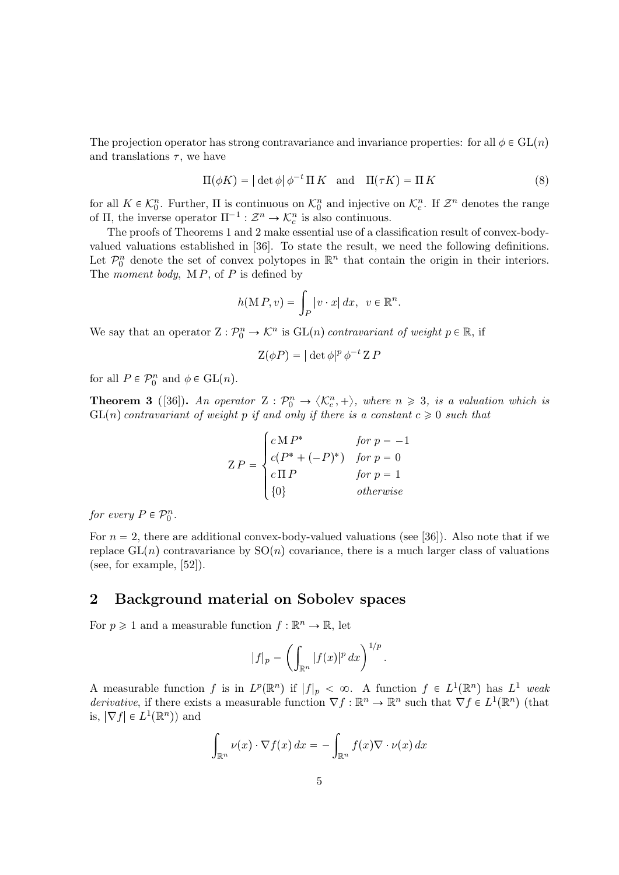The projection operator has strong contravariance and invariance properties: for all  $\phi \in GL(n)$ and translations  $\tau$ , we have

$$
\Pi(\phi K) = |\det \phi| \phi^{-t} \Pi K \text{ and } \Pi(\tau K) = \Pi K
$$
\n(8)

for all  $K \in \mathcal{K}_0^n$ . Further,  $\Pi$  is continuous on  $\mathcal{K}_0^n$  and injective on  $\mathcal{K}_c^n$ . If  $\mathcal{Z}^n$  denotes the range of  $\Pi$ , the inverse operator  $\Pi^{-1} : \mathcal{Z}^n \to \mathcal{K}_c^n$  is also continuous.

The proofs of Theorems 1 and 2 make essential use of a classification result of convex-bodyvalued valuations established in [36]. To state the result, we need the following definitions. Let  $\mathcal{P}_0^n$  denote the set of convex polytopes in  $\mathbb{R}^n$  that contain the origin in their interiors. The *moment body*,  $\mathbf{M} \, P$ , of  $P$  is defined by

$$
h(M P, v) = \int_P |v \cdot x| dx, \ v \in \mathbb{R}^n.
$$

We say that an operator  $Z: \mathcal{P}_0^n \to \mathcal{K}^n$  is  $GL(n)$  contravariant of weight  $p \in \mathbb{R}$ , if

$$
\mathcal{Z}(\phi P) = |\det \phi|^p \phi^{-t} \mathcal{Z} P
$$

for all  $P \in \mathcal{P}_0^n$  and  $\phi \in GL(n)$ .

**Theorem 3** ([36]). An operator  $Z : \mathcal{P}_0^n \to \langle \mathcal{K}_c^n, + \rangle$ , where  $n \geq 3$ , is a valuation which is  $GL(n)$  contravariant of weight p if and only if there is a constant  $c \geq 0$  such that

$$
Z P = \begin{cases} c M P^* & \text{for } p = -1 \\ c (P^* + (-P)^*) & \text{for } p = 0 \\ c \Pi P & \text{for } p = 1 \\ \{0\} & \text{otherwise} \end{cases}
$$

for every  $P \in \mathcal{P}_0^n$ .

For  $n = 2$ , there are additional convex-body-valued valuations (see [36]). Also note that if we replace  $GL(n)$  contravariance by  $SO(n)$  covariance, there is a much larger class of valuations (see, for example, [52]).

### 2 Background material on Sobolev spaces

For  $p \geq 1$  and a measurable function  $f : \mathbb{R}^n \to \mathbb{R}$ , let

$$
|f|_p = \left(\int_{\mathbb{R}^n} |f(x)|^p dx\right)^{1/p}
$$

.

A measurable function f is in  $L^p(\mathbb{R}^n)$  if  $|f|_p < \infty$ . A function  $f \in L^1(\mathbb{R}^n)$  has  $L^1$  weak derivative, if there exists a measurable function  $\nabla f : \mathbb{R}^n \to \mathbb{R}^n$  such that  $\nabla f \in L^1(\mathbb{R}^n)$  (that is,  $|\nabla f| \in L^1(\mathbb{R}^n)$  and

$$
\int_{\mathbb{R}^n} \nu(x) \cdot \nabla f(x) \, dx = - \int_{\mathbb{R}^n} f(x) \nabla \cdot \nu(x) \, dx
$$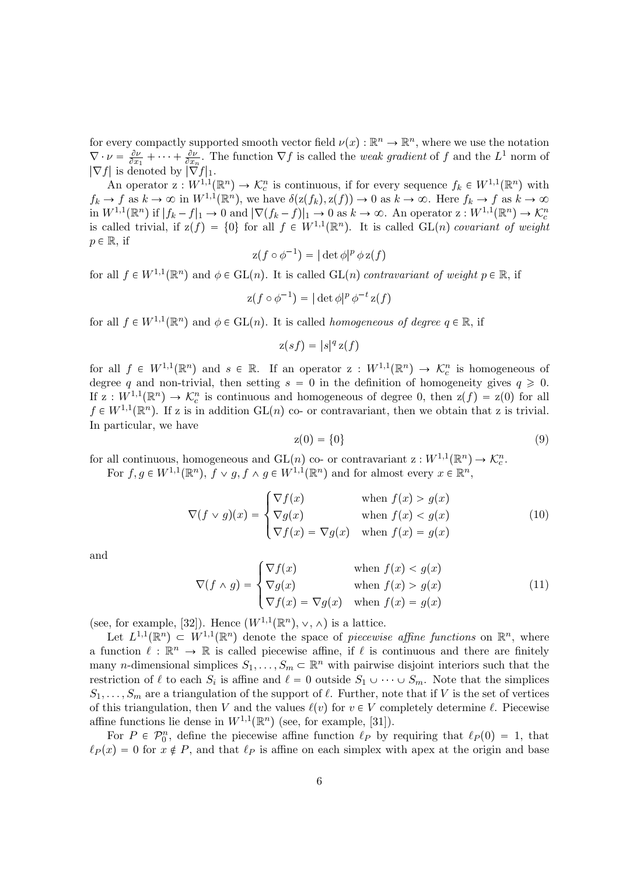for every compactly supported smooth vector field  $\nu(x) : \mathbb{R}^n \to \mathbb{R}^n$ , where we use the notation  $\nabla \cdot \nu = \frac{\partial \nu}{\partial x}$  $\frac{\partial \nu}{\partial x_1} + \cdots + \frac{\partial \nu}{\partial x_n}$ . The function  $\nabla f$  is called the *weak gradient* of f and the  $L^1$  norm of  $|\nabla f|$  is denoted by  $|\nabla f|_1$ .

An operator  $z: W^{1,1}(\mathbb{R}^n) \to \mathcal{K}_c^n$  is continuous, if for every sequence  $f_k \in W^{1,1}(\mathbb{R}^n)$  with  $f_k \to f$  as  $k \to \infty$  in  $W^{1,1}(\mathbb{R}^n)$ , we have  $\delta(z(f_k), z(f)) \to 0$  as  $k \to \infty$ . Here  $f_k \to f$  as  $k \to \infty$ in  $W^{1,1}(\mathbb{R}^n)$  if  $|f_k - f|_1 \to 0$  and  $|\nabla (f_k - f)|_1 \to 0$  as  $k \to \infty$ . An operator  $z : W^{1,1}(\mathbb{R}^n) \to \mathcal{K}_c^n$ is called trivial, if  $z(f) = \{0\}$  for all  $f \in W^{1,1}(\mathbb{R}^n)$ . It is called  $GL(n)$  covariant of weight  $p \in \mathbb{R}$ , if

$$
z(f \circ \phi^{-1}) = |\det \phi|^p \phi z(f)
$$

for all  $f \in W^{1,1}(\mathbb{R}^n)$  and  $\phi \in GL(n)$ . It is called  $GL(n)$  contravariant of weight  $p \in \mathbb{R}$ , if

$$
z(f \circ \phi^{-1}) = |\det \phi|^p \phi^{-t} z(f)
$$

for all  $f \in W^{1,1}(\mathbb{R}^n)$  and  $\phi \in GL(n)$ . It is called *homogeneous of degree*  $q \in \mathbb{R}$ , if

 $z(sf) = |s|^q z(f)$ 

for all  $f \in W^{1,1}(\mathbb{R}^n)$  and  $s \in \mathbb{R}$ . If an operator  $z : W^{1,1}(\mathbb{R}^n) \to \mathcal{K}_c^n$  is homogeneous of degree q and non-trivial, then setting  $s = 0$  in the definition of homogeneity gives  $q \ge 0$ . If  $z: W^{1,1}(\mathbb{R}^n) \to \mathcal{K}_c^n$  is continuous and homogeneous of degree 0, then  $z(f) = z(0)$  for all  $f \in W^{1,1}(\mathbb{R}^n)$ . If z is in addition  $GL(n)$  co- or contravariant, then we obtain that z is trivial. In particular, we have

$$
z(0) = \{0\} \tag{9}
$$

for all continuous, homogeneous and  $GL(n)$  co- or contravariant  $z : W^{1,1}(\mathbb{R}^n) \to \mathcal{K}_c^n$ . For  $f, g \in W^{1,1}(\mathbb{R}^n)$ ,  $f \vee g, f \wedge g \in W^{1,1}(\mathbb{R}^n)$  and for almost every  $x \in \mathbb{R}^n$ ,

$$
\nabla(f \vee g)(x) = \begin{cases}\n\nabla f(x) & \text{when } f(x) > g(x) \\
\nabla g(x) & \text{when } f(x) < g(x) \\
\nabla f(x) = \nabla g(x) & \text{when } f(x) = g(x)\n\end{cases}
$$
\n(10)

and

$$
\nabla(f \wedge g) = \begin{cases}\n\nabla f(x) & \text{when } f(x) < g(x) \\
\nabla g(x) & \text{when } f(x) > g(x) \\
\nabla f(x) = \nabla g(x) & \text{when } f(x) = g(x)\n\end{cases} \tag{11}
$$

(see, for example, [32]). Hence  $(W^{1,1}(\mathbb{R}^n), \vee, \wedge)$  is a lattice.

Let  $L^{1,1}(\mathbb{R}^n) \subset W^{1,1}(\mathbb{R}^n)$  denote the space of *piecewise affine functions* on  $\mathbb{R}^n$ , where a function  $\ell : \mathbb{R}^n \to \mathbb{R}$  is called piecewise affine, if  $\ell$  is continuous and there are finitely many *n*-dimensional simplices  $S_1, \ldots, S_m \subset \mathbb{R}^n$  with pairwise disjoint interiors such that the restriction of  $\ell$  to each  $S_i$  is affine and  $\ell = 0$  outside  $S_1 \cup \cdots \cup S_m$ . Note that the simplices  $S_1, \ldots, S_m$  are a triangulation of the support of  $\ell$ . Further, note that if V is the set of vertices of this triangulation, then V and the values  $\ell(v)$  for  $v \in V$  completely determine  $\ell$ . Piecewise affine functions lie dense in  $W^{1,1}(\mathbb{R}^n)$  (see, for example, [31]).

For  $P \in \mathcal{P}_0^n$ , define the piecewise affine function  $\ell_P$  by requiring that  $\ell_P(0) = 1$ , that  $\ell_P(x) = 0$  for  $x \notin P$ , and that  $\ell_P$  is affine on each simplex with apex at the origin and base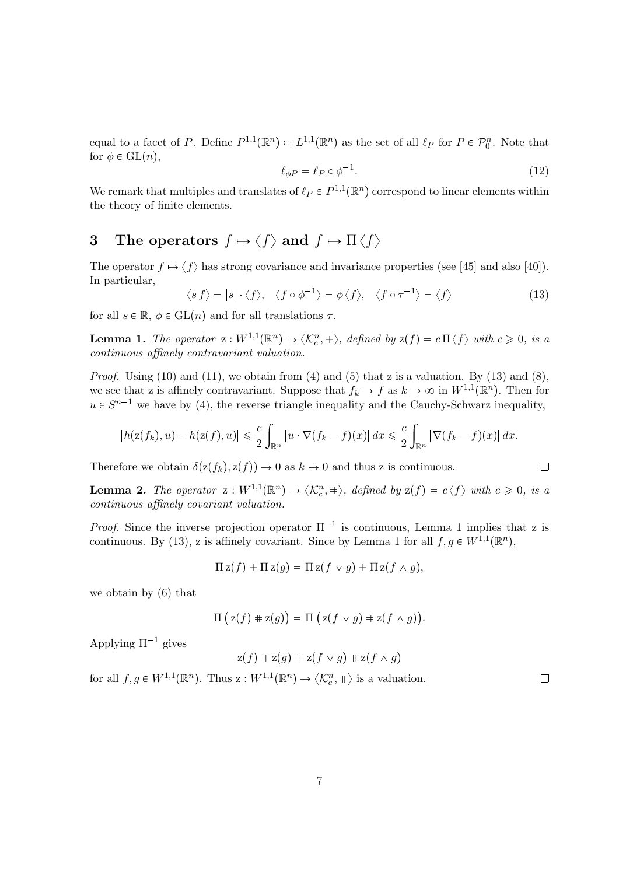equal to a facet of P. Define  $P^{1,1}(\mathbb{R}^n) \subset L^{1,1}(\mathbb{R}^n)$  as the set of all  $\ell_P$  for  $P \in \mathcal{P}_0^n$ . Note that for  $\phi \in GL(n)$ ,

$$
\ell_{\phi P} = \ell_P \circ \phi^{-1}.\tag{12}
$$

We remark that multiples and translates of  $\ell_P \in P^{1,1}(\mathbb{R}^n)$  correspond to linear elements within the theory of finite elements.

# 3 The operators  $f \mapsto \langle f \rangle$  and  $f \mapsto \Pi \langle f \rangle$

The operator  $f \mapsto \langle f \rangle$  has strong covariance and invariance properties (see [45] and also [40]). In particular,

$$
\langle s f \rangle = |s| \cdot \langle f \rangle, \quad \langle f \circ \phi^{-1} \rangle = \phi \langle f \rangle, \quad \langle f \circ \tau^{-1} \rangle = \langle f \rangle \tag{13}
$$

for all  $s \in \mathbb{R}$ ,  $\phi \in GL(n)$  and for all translations  $\tau$ .

**Lemma 1.** The operator  $z: W^{1,1}(\mathbb{R}^n) \to \langle \mathcal{K}_c^n, + \rangle$ , defined by  $z(f) = c \Pi \langle f \rangle$  with  $c \geq 0$ , is a continuous affinely contravariant valuation.

*Proof.* Using (10) and (11), we obtain from (4) and (5) that z is a valuation. By (13) and (8), we see that z is affinely contravariant. Suppose that  $f_k \to f$  as  $k \to \infty$  in  $W^{1,1}(\mathbb{R}^n)$ . Then for  $u \in S^{n-1}$  we have by (4), the reverse triangle inequality and the Cauchy-Schwarz inequality,

$$
|h(\mathbf{z}(f_k), u) - h(\mathbf{z}(f), u)| \leq \frac{c}{2} \int_{\mathbb{R}^n} |u \cdot \nabla (f_k - f)(x)| dx \leq \frac{c}{2} \int_{\mathbb{R}^n} |\nabla (f_k - f)(x)| dx.
$$

Therefore we obtain  $\delta(z(f_k), z(f)) \to 0$  as  $k \to 0$  and thus z is continuous.

**Lemma 2.** The operator  $z: W^{1,1}(\mathbb{R}^n) \to \langle \mathcal{K}_c^n, \# \rangle$ , defined by  $z(f) = c \langle f \rangle$  with  $c \geq 0$ , is a continuous affinely covariant valuation.

*Proof.* Since the inverse projection operator  $\Pi^{-1}$  is continuous, Lemma 1 implies that z is continuous. By (13), z is affinely covariant. Since by Lemma 1 for all  $f, g \in W^{1,1}(\mathbb{R}^n)$ ,

$$
\Pi z(f) + \Pi z(g) = \Pi z(f \vee g) + \Pi z(f \wedge g),
$$

we obtain by (6) that

$$
\Pi(z(f) + z(g)) = \Pi(z(f \vee g) + z(f \wedge g)).
$$

Applying  $\Pi^{-1}$  gives

$$
z(f) + z(g) = z(f \vee g) + z(f \wedge g)
$$

for all  $f, g \in W^{1,1}(\mathbb{R}^n)$ . Thus  $z: W^{1,1}(\mathbb{R}^n) \to \langle \mathcal{K}_c^n, \# \rangle$  is a valuation.

 $\Box$ 

 $\Box$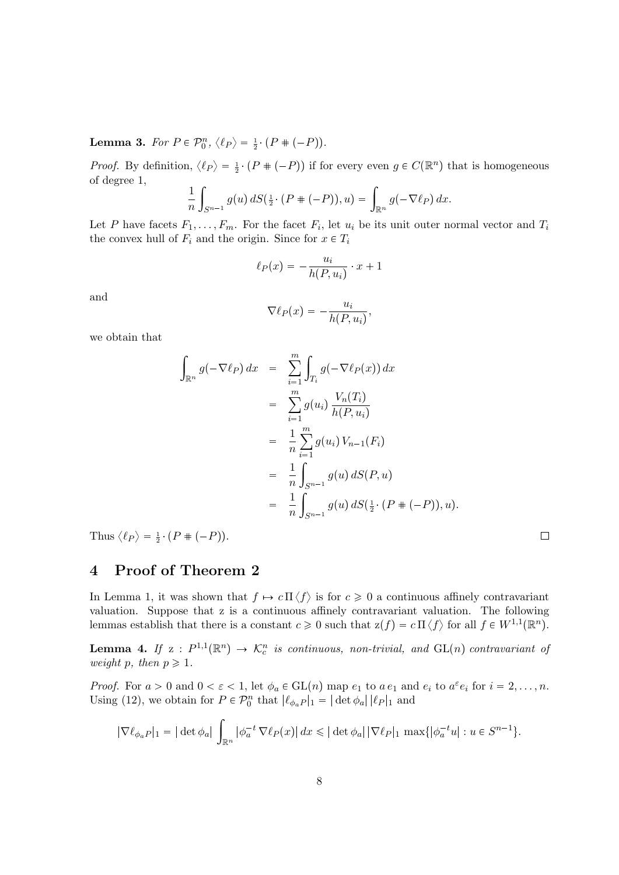**Lemma 3.** For  $P \in \mathcal{P}_0^n$ ,  $\langle \ell_P \rangle = \frac{1}{2} \cdot (P \# (-P)).$ 

*Proof.* By definition,  $\langle \ell_P \rangle = \frac{1}{2} \cdot (P + (-P))$  if for every even  $g \in C(\mathbb{R}^n)$  that is homogeneous of degree 1,

$$
\frac{1}{n}\int_{S^{n-1}}g(u)\,dS(\tfrac{1}{2}\cdot(P\#(-P)),u)=\int_{\mathbb{R}^n}g(-\nabla\ell_P)\,dx.
$$

Let P have facets  $F_1, \ldots, F_m$ . For the facet  $F_i$ , let  $u_i$  be its unit outer normal vector and  $T_i$ the convex hull of  $F_i$  and the origin. Since for  $x \in T_i$ 

$$
\ell_P(x) = -\frac{u_i}{h(P, u_i)} \cdot x + 1
$$

and

$$
\nabla \ell_P(x) = -\frac{u_i}{h(P, u_i)},
$$

we obtain that

$$
\int_{\mathbb{R}^n} g(-\nabla \ell_P) dx = \sum_{i=1}^m \int_{T_i} g(-\nabla \ell_P(x)) dx \n= \sum_{i=1}^m g(u_i) \frac{V_n(T_i)}{h(P, u_i)} \n= \frac{1}{n} \sum_{i=1}^m g(u_i) V_{n-1}(F_i) \n= \frac{1}{n} \int_{S^{n-1}} g(u) dS(P, u) \n= \frac{1}{n} \int_{S^{n-1}} g(u) dS(\frac{1}{2} \cdot (P + (-P)), u).
$$

Thus  $\langle \ell_P \rangle = \frac{1}{2} \cdot (P + (-P)).$ 

### 4 Proof of Theorem 2

In Lemma 1, it was shown that  $f \mapsto c \Pi \langle f \rangle$  is for  $c \geq 0$  a continuous affinely contravariant valuation. Suppose that z is a continuous affinely contravariant valuation. The following lemmas establish that there is a constant  $c \geq 0$  such that  $z(f) = c \prod \langle f \rangle$  for all  $f \in W^{1,1}(\mathbb{R}^n)$ .

**Lemma 4.** If  $z : P^{1,1}(\mathbb{R}^n) \to \mathcal{K}_c^n$  is continuous, non-trivial, and  $GL(n)$  contravariant of weight p, then  $p \geq 1$ .

*Proof.* For  $a > 0$  and  $0 < \varepsilon < 1$ , let  $\phi_a \in GL(n)$  map  $e_1$  to  $a e_1$  and  $e_i$  to  $a^{\varepsilon} e_i$  for  $i = 2, ..., n$ . Using (12), we obtain for  $P \in \mathcal{P}_0^n$  that  $|\ell_{\phi_a}P|_1 = |\det \phi_a||\ell_P|_1$  and

$$
|\nabla \ell_{\phi_a P}|_1 = |\det \phi_a| \int_{\mathbb{R}^n} |\phi_a^{-t} \nabla \ell_P(x)| dx \leq |\det \phi_a| |\nabla \ell_P|_1 \max \{ |\phi_a^{-t} u| : u \in S^{n-1} \}.
$$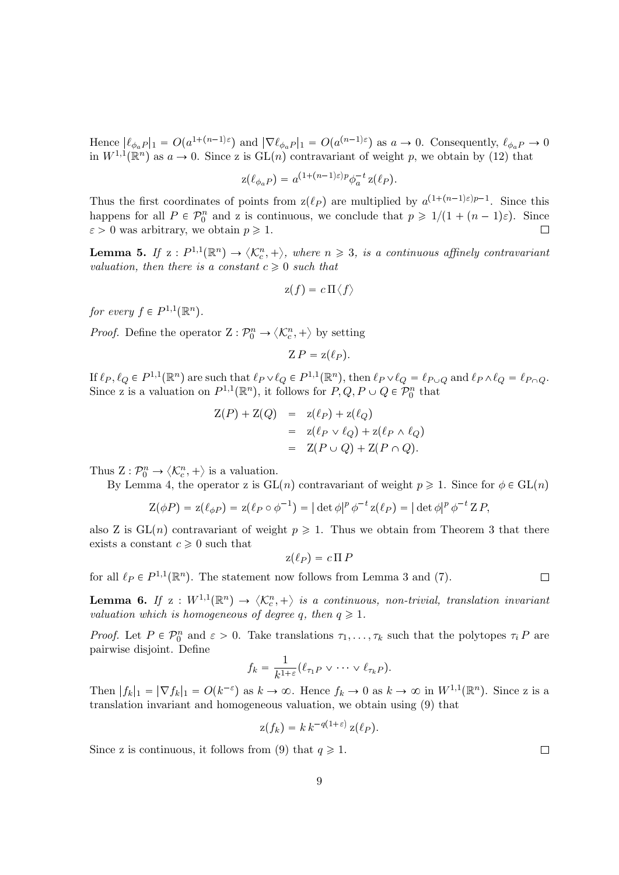Hence  $|\ell_{\phi_a}P|_1 = O(a^{1+(n-1)\varepsilon})$  and  $|\nabla \ell_{\phi_a}P|_1 = O(a^{(n-1)\varepsilon})$  as  $a \to 0$ . Consequently,  $\ell_{\phi_a}P \to 0$ in  $W^{1,1}(\mathbb{R}^n)$  as  $a \to 0$ . Since z is  $GL(n)$  contravariant of weight p, we obtain by (12) that

$$
z(\ell_{\phi_a P}) = a^{(1 + (n-1)\varepsilon)p} \phi_a^{-t} z(\ell_P).
$$

Thus the first coordinates of points from  $z(\ell_P)$  are multiplied by  $a^{(1+(n-1)\varepsilon)p-1}$ . Since this happens for all  $P \in \mathcal{P}_0^n$  and z is continuous, we conclude that  $p \geq 1/(1 + (n-1)\varepsilon)$ . Since  $\varepsilon > 0$  was arbitrary, we obtain  $p \geq 1$ .  $\Box$ 

**Lemma 5.** If  $z: P^{1,1}(\mathbb{R}^n) \to \langle \mathcal{K}_c^n, + \rangle$ , where  $n \geq 3$ , is a continuous affinely contravariant valuation, then there is a constant  $c \geq 0$  such that

$$
\mathrm{z}(f)=c\,\Pi\langle f\rangle
$$

for every  $f \in P^{1,1}(\mathbb{R}^n)$ .

*Proof.* Define the operator  $Z: \mathcal{P}_0^n \to \langle \mathcal{K}_c^n, + \rangle$  by setting

 $Z P = z(\ell_P)$ .

If  $\ell_P, \ell_Q \in P^{1,1}(\mathbb{R}^n)$  are such that  $\ell_P \vee \ell_Q \in P^{1,1}(\mathbb{R}^n)$ , then  $\ell_P \vee \ell_Q = \ell_{P \cup Q}$  and  $\ell_P \wedge \ell_Q = \ell_{P \cap Q}$ . Since z is a valuation on  $P^{1,1}(\mathbb{R}^n)$ , it follows for  $P, Q, P \cup Q \in \mathcal{P}_0^n$  that

$$
Z(P) + Z(Q) = z(\ell_P) + z(\ell_Q)
$$
  
= 
$$
z(\ell_P \vee \ell_Q) + z(\ell_P \wedge \ell_Q)
$$
  
= 
$$
Z(P \cup Q) + Z(P \cap Q).
$$

Thus  $Z: \mathcal{P}_0^n \to \langle \mathcal{K}_c^n, + \rangle$  is a valuation.

By Lemma 4, the operator z is  $GL(n)$  contravariant of weight  $p \geq 1$ . Since for  $\phi \in GL(n)$ 

$$
Z(\phi P) = z(\ell_{\phi P}) = z(\ell_P \circ \phi^{-1}) = |\det \phi|^p \phi^{-t} z(\ell_P) = |\det \phi|^p \phi^{-t} Z P,
$$

also Z is  $GL(n)$  contravariant of weight  $p \ge 1$ . Thus we obtain from Theorem 3 that there exists a constant  $c \geq 0$  such that

$$
z(\ell_P) = c \, \Pi \, P
$$

for all  $\ell_P \in P^{1,1}(\mathbb{R}^n)$ . The statement now follows from Lemma 3 and (7).

**Lemma 6.** If  $z: W^{1,1}(\mathbb{R}^n) \to \langle \mathcal{K}_c^n, + \rangle$  is a continuous, non-trivial, translation invariant valuation which is homogeneous of degree q, then  $q \geq 1$ .

*Proof.* Let  $P \in \mathcal{P}_0^n$  and  $\varepsilon > 0$ . Take translations  $\tau_1, \ldots, \tau_k$  such that the polytopes  $\tau_i P$  are pairwise disjoint. Define

$$
f_k = \frac{1}{k^{1+\varepsilon}} (\ell_{\tau_1 P} \vee \cdots \vee \ell_{\tau_k P}).
$$

Then  $|f_k|_1 = |\nabla f_k|_1 = O(k^{-\epsilon})$  as  $k \to \infty$ . Hence  $f_k \to 0$  as  $k \to \infty$  in  $W^{1,1}(\mathbb{R}^n)$ . Since z is a translation invariant and homogeneous valuation, we obtain using (9) that

$$
z(f_k) = k k^{-q(1+\varepsilon)} z(\ell_P).
$$

Since z is continuous, it follows from (9) that  $q \ge 1$ .

9

 $\Box$ 

 $\Box$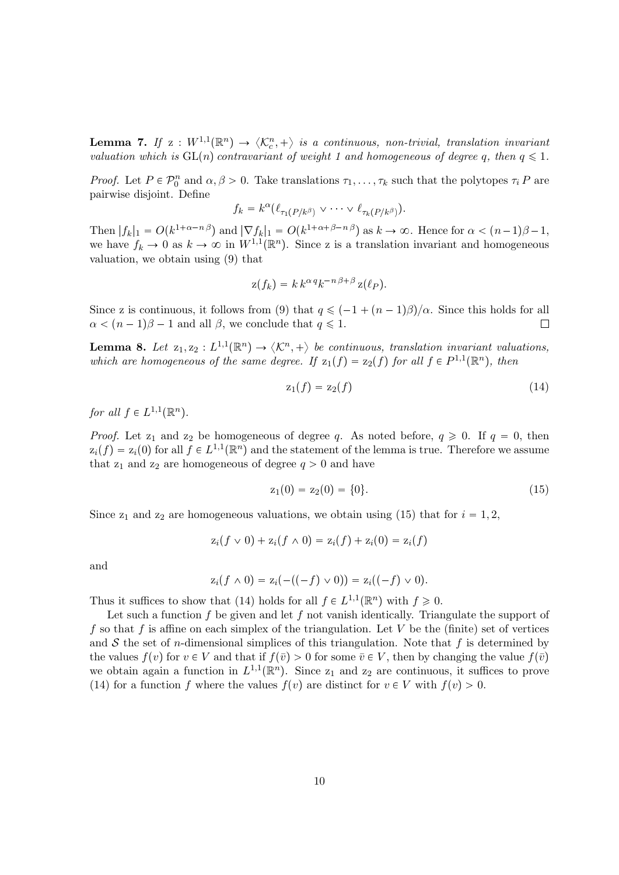**Lemma 7.** If  $z: W^{1,1}(\mathbb{R}^n) \to \langle \mathcal{K}_c^n, + \rangle$  is a continuous, non-trivial, translation invariant valuation which is  $GL(n)$  contravariant of weight 1 and homogeneous of degree q, then  $q \leq 1$ .

*Proof.* Let  $P \in \mathcal{P}_0^n$  and  $\alpha, \beta > 0$ . Take translations  $\tau_1, \ldots, \tau_k$  such that the polytopes  $\tau_i P$  are pairwise disjoint. Define

$$
f_k = k^{\alpha}(\ell_{\tau_1(P/k^{\beta})} \vee \cdots \vee \ell_{\tau_k(P/k^{\beta})}).
$$

Then  $|f_k|_1 = O(k^{1+\alpha-n\beta})$  and  $|\nabla f_k|_1 = O(k^{1+\alpha+\beta-n\beta})$  as  $k \to \infty$ . Hence for  $\alpha < (n-1)\beta-1$ , we have  $f_k \to 0$  as  $k \to \infty$  in  $W^{1,1}(\mathbb{R}^n)$ . Since z is a translation invariant and homogeneous valuation, we obtain using (9) that

$$
z(f_k) = k k^{\alpha q} k^{-n \beta + \beta} z(\ell_P).
$$

Since z is continuous, it follows from (9) that  $q \leq (-1 + (n-1)\beta)/\alpha$ . Since this holds for all  $\alpha < (n-1)\beta - 1$  and all  $\beta$ , we conclude that  $q \leq 1$ .  $\Box$ 

**Lemma 8.** Let  $z_1, z_2 : L^{1,1}(\mathbb{R}^n) \to \langle K^n, + \rangle$  be continuous, translation invariant valuations, which are homogeneous of the same degree. If  $z_1(f) = z_2(f)$  for all  $f \in P^{1,1}(\mathbb{R}^n)$ , then

$$
z_1(f) = z_2(f) \tag{14}
$$

for all  $f \in L^{1,1}(\mathbb{R}^n)$ .

*Proof.* Let  $z_1$  and  $z_2$  be homogeneous of degree q. As noted before,  $q \ge 0$ . If  $q = 0$ , then  $z_i(f) = z_i(0)$  for all  $f \in L^{1,1}(\mathbb{R}^n)$  and the statement of the lemma is true. Therefore we assume that  $z_1$  and  $z_2$  are homogeneous of degree  $q > 0$  and have

$$
z_1(0) = z_2(0) = \{0\}.\tag{15}
$$

Since  $z_1$  and  $z_2$  are homogeneous valuations, we obtain using (15) that for  $i = 1, 2$ ,

$$
z_i(f \vee 0) + z_i(f \wedge 0) = z_i(f) + z_i(0) = z_i(f)
$$

and

$$
z_i(f \wedge 0) = z_i(-((-f) \vee 0)) = z_i((-f) \vee 0).
$$

Thus it suffices to show that (14) holds for all  $f \in L^{1,1}(\mathbb{R}^n)$  with  $f \geq 0$ .

Let such a function f be given and let f not vanish identically. Triangulate the support of f so that f is affine on each simplex of the triangulation. Let V be the (finite) set of vertices and S the set of n-dimensional simplices of this triangulation. Note that f is determined by the values  $f(v)$  for  $v \in V$  and that if  $f(\bar{v}) > 0$  for some  $\bar{v} \in V$ , then by changing the value  $f(\bar{v})$ we obtain again a function in  $L^{1,1}(\mathbb{R}^n)$ . Since  $z_1$  and  $z_2$  are continuous, it suffices to prove (14) for a function f where the values  $f(v)$  are distinct for  $v \in V$  with  $f(v) > 0$ .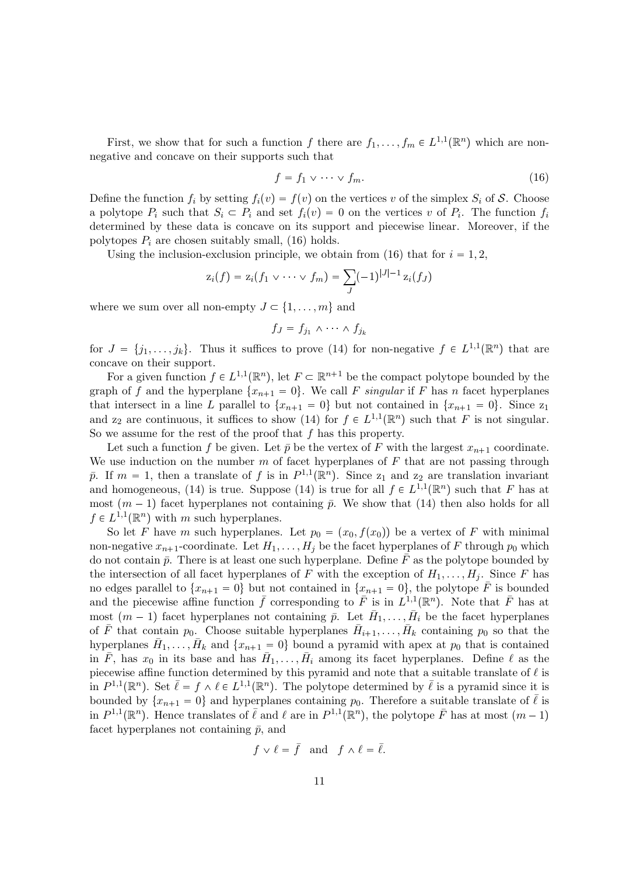First, we show that for such a function f there are  $f_1, \ldots, f_m \in L^{1,1}(\mathbb{R}^n)$  which are nonnegative and concave on their supports such that

$$
f = f_1 \vee \cdots \vee f_m. \tag{16}
$$

Define the function  $f_i$  by setting  $f_i(v) = f(v)$  on the vertices v of the simplex  $S_i$  of S. Choose a polytope  $P_i$  such that  $S_i \subset P_i$  and set  $f_i(v) = 0$  on the vertices v of  $P_i$ . The function  $f_i$ determined by these data is concave on its support and piecewise linear. Moreover, if the polytopes  $P_i$  are chosen suitably small, (16) holds.

Using the inclusion-exclusion principle, we obtain from (16) that for  $i = 1, 2$ ,

$$
z_i(f) = z_i(f_1 \vee \cdots \vee f_m) = \sum_{J} (-1)^{|J|-1} z_i(f_J)
$$

where we sum over all non-empty  $J \subset \{1, \ldots, m\}$  and

$$
f_J = f_{j_1} \wedge \cdots \wedge f_{j_k}
$$

for  $J = \{j_1, \ldots, j_k\}$ . Thus it suffices to prove (14) for non-negative  $f \in L^{1,1}(\mathbb{R}^n)$  that are concave on their support.

For a given function  $f \in L^{1,1}(\mathbb{R}^n)$ , let  $F \subset \mathbb{R}^{n+1}$  be the compact polytope bounded by the graph of f and the hyperplane  $\{x_{n+1} = 0\}$ . We call F singular if F has n facet hyperplanes that intersect in a line L parallel to  $\{x_{n+1} = 0\}$  but not contained in  $\{x_{n+1} = 0\}$ . Since  $z_1$ and  $z_2$  are continuous, it suffices to show (14) for  $f \in L^{1,1}(\mathbb{R}^n)$  such that F is not singular. So we assume for the rest of the proof that  $f$  has this property.

Let such a function f be given. Let  $\bar{p}$  be the vertex of F with the largest  $x_{n+1}$  coordinate. We use induction on the number  $m$  of facet hyperplanes of  $F$  that are not passing through  $\bar{p}$ . If  $m = 1$ , then a translate of f is in  $P^{1,1}(\mathbb{R}^n)$ . Since  $z_1$  and  $z_2$  are translation invariant and homogeneous, (14) is true. Suppose (14) is true for all  $f \in L^{1,1}(\mathbb{R}^n)$  such that F has at most  $(m - 1)$  facet hyperplanes not containing  $\bar{p}$ . We show that (14) then also holds for all  $f \in L^{1,1}(\mathbb{R}^n)$  with m such hyperplanes.

So let F have m such hyperplanes. Let  $p_0 = (x_0, f(x_0))$  be a vertex of F with minimal non-negative  $x_{n+1}$ -coordinate. Let  $H_1, \ldots, H_j$  be the facet hyperplanes of F through  $p_0$  which do not contain  $\bar{p}$ . There is at least one such hyperplane. Define  $\bar{F}$  as the polytope bounded by the intersection of all facet hyperplanes of F with the exception of  $H_1, \ldots, H_j$ . Since F has no edges parallel to  $\{x_{n+1} = 0\}$  but not contained in  $\{\underline{x}_{n+1} = 0\}$ , the polytope  $\overline{F}$  is bounded and the piecewise affine function  $\bar{f}$  corresponding to  $\bar{F}$  is in  $L^{1,1}(\mathbb{R}^n)$ . Note that  $\bar{F}$  has at most  $(m-1)$  facet hyperplanes not containing  $\bar{p}$ . Let  $\bar{H}_1, \ldots, \bar{H}_i$  be the facet hyperplanes of  $\bar{F}$  that contain  $p_0$ . Choose suitable hyperplanes  $\bar{H}_{i+1}, \ldots, \bar{H}_k$  containing  $p_0$  so that the hyperplanes  $\bar{H}_1, \ldots, \bar{H}_k$  and  $\{x_{n+1} = 0\}$  bound a pyramid with apex at  $p_0$  that is contained in  $\bar{F}$ , has  $x_0$  in its base and has  $\bar{H}_1, \ldots, \bar{H}_i$  among its facet hyperplanes. Define  $\ell$  as the piecewise affine function determined by this pyramid and note that a suitable translate of  $\ell$  is in  $P^{1,1}(\mathbb{R}^n)$ . Set  $\bar{\ell} = f \wedge \ell \in L^{1,1}(\mathbb{R}^n)$ . The polytope determined by  $\bar{\ell}$  is a pyramid since it is bounded by  $\{x_{n+1} = 0\}$  and hyperplanes containing  $p_0$ . Therefore a suitable translate of  $\overline{\ell}$  is in  $P^{1,1}(\mathbb{R}^n)$ . Hence translates of  $\overline{\ell}$  and  $\ell$  are in  $P^{1,1}(\mathbb{R}^n)$ , the polytope  $\overline{F}$  has at most  $(m-1)$ facet hyperplanes not containing  $\bar{p}$ , and

$$
f \vee \ell = \bar{f}
$$
 and  $f \wedge \ell = \bar{\ell}$ .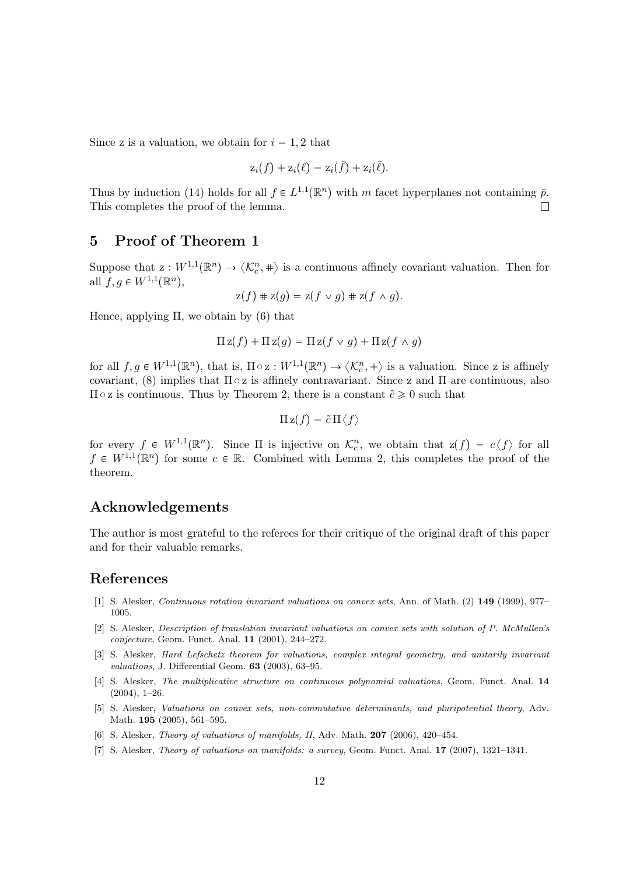Since z is a valuation, we obtain for  $i = 1, 2$  that

$$
z_i(f) + z_i(\ell) = z_i(\bar{f}) + z_i(\bar{\ell}).
$$

Thus by induction (14) holds for all  $f \in L^{1,1}(\mathbb{R}^n)$  with m facet hyperplanes not containing  $\bar{p}$ . This completes the proof of the lemma.  $\Box$ 

### 5 Proof of Theorem 1

Suppose that  $z: W^{1,1}(\mathbb{R}^n) \to \langle \mathcal{K}_c^n, \pm \rangle$  is a continuous affinely covariant valuation. Then for all  $f, g \in W^{1,1}(\mathbb{R}^n)$ ,

$$
z(f) + z(g) = z(f \vee g) + z(f \wedge g).
$$

Hence, applying  $\Pi$ , we obtain by  $(6)$  that

$$
\Pi z(f) + \Pi z(g) = \Pi z(f \vee g) + \Pi z(f \wedge g)
$$

for all  $f, g \in W^{1,1}(\mathbb{R}^n)$ , that is,  $\Pi \circ \mathbf{z} : W^{1,1}(\mathbb{R}^n) \to \langle \mathcal{K}_c^n, + \rangle$  is a valuation. Since z is affinely covariant, (8) implies that  $\Pi \circ z$  is affinely contravariant. Since z and  $\Pi$  are continuous, also  $\Pi \circ z$  is continuous. Thus by Theorem 2, there is a constant  $\tilde{c} \geq 0$  such that

$$
\Pi z(f)=\tilde{c}\,\Pi\langle f\rangle
$$

for every  $f \in W^{1,1}(\mathbb{R}^n)$ . Since  $\Pi$  is injective on  $\mathcal{K}_c^n$ , we obtain that  $z(f) = c \langle f \rangle$  for all  $f \in W^{1,1}(\mathbb{R}^n)$  for some  $c \in \mathbb{R}$ . Combined with Lemma 2, this completes the proof of the theorem.

### Acknowledgements

The author is most grateful to the referees for their critique of the original draft of this paper and for their valuable remarks.

### References

- [1] S. Alesker, Continuous rotation invariant valuations on convex sets, Ann. of Math. (2) 149 (1999), 977– 1005.
- [2] S. Alesker, Description of translation invariant valuations on convex sets with solution of P. McMullen's conjecture, Geom. Funct. Anal. 11 (2001), 244–272.
- [3] S. Alesker, Hard Lefschetz theorem for valuations, complex integral geometry, and unitarily invariant valuations, J. Differential Geom. 63 (2003), 63–95.
- [4] S. Alesker, The multiplicative structure on continuous polynomial valuations, Geom. Funct. Anal. 14  $(2004)$ , 1–26.
- [5] S. Alesker, Valuations on convex sets, non-commutative determinants, and pluripotential theory, Adv. Math. **195** (2005), 561-595.
- [6] S. Alesker, Theory of valuations of manifolds, II, Adv. Math. 207 (2006), 420–454.
- [7] S. Alesker, Theory of valuations on manifolds: a survey, Geom. Funct. Anal. 17 (2007), 1321–1341.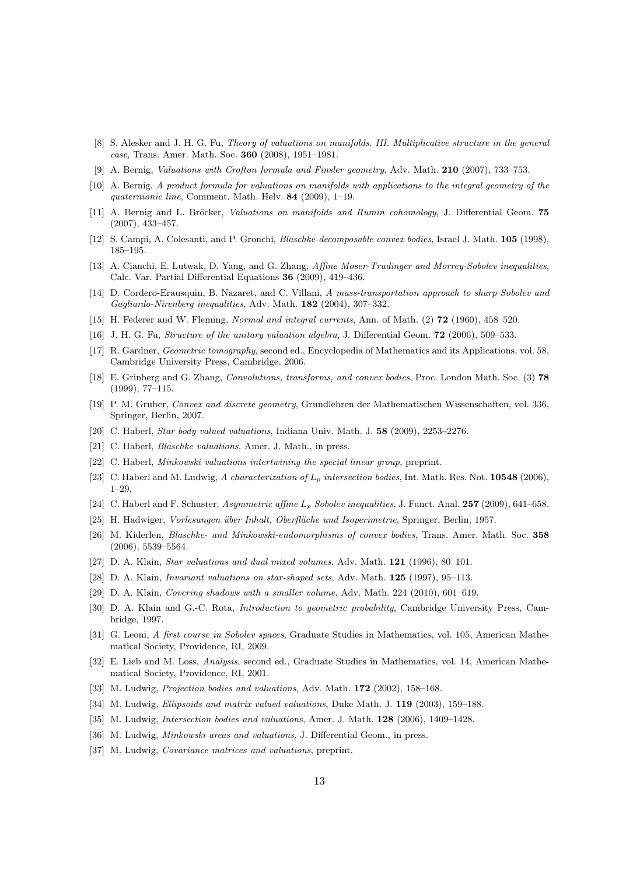- [8] S. Alesker and J. H. G. Fu, Theory of valuations on manifolds. III. Multiplicative structure in the general case, Trans. Amer. Math. Soc. 360 (2008), 1951–1981.
- [9] A. Bernig, Valuations with Crofton formula and Finsler geometry, Adv. Math. 210 (2007), 733–753.
- [10] A. Bernig, A product formula for valuations on manifolds with applications to the integral geometry of the quaternionic line, Comment. Math. Helv. 84 (2009), 1-19.
- [11] A. Bernig and L. Bröcker, Valuations on manifolds and Rumin cohomology, J. Differential Geom. 75 (2007), 433–457.
- [12] S. Campi, A. Colesanti, and P. Gronchi, Blaschke-decomposable convex bodies, Israel J. Math. 105 (1998), 185–195.
- [13] A. Cianchi, E. Lutwak, D. Yang, and G. Zhang, Affine Moser-Trudinger and Morrey-Sobolev inequalities, Calc. Var. Partial Differential Equations 36 (2009), 419–436.
- [14] D. Cordero-Erausquin, B. Nazaret, and C. Villani, A mass-transportation approach to sharp Sobolev and Gagliardo-Nirenberg inequalities, Adv. Math. 182 (2004), 307–332.
- [15] H. Federer and W. Fleming, Normal and integral currents, Ann. of Math. (2) 72 (1960), 458–520.
- [16] J. H. G. Fu, Structure of the unitary valuation algebra, J. Differential Geom. **72** (2006), 509–533.
- [17] R. Gardner, Geometric tomography, second ed., Encyclopedia of Mathematics and its Applications, vol. 58, Cambridge University Press, Cambridge, 2006.
- [18] E. Grinberg and G. Zhang, Convolutions, transforms, and convex bodies, Proc. London Math. Soc. (3) 78 (1999), 77–115.
- [19] P. M. Gruber, Convex and discrete geometry, Grundlehren der Mathematischen Wissenschaften, vol. 336, Springer, Berlin, 2007.
- [20] C. Haberl, Star body valued valuations, Indiana Univ. Math. J. 58 (2009), 2253–2276.
- [21] C. Haberl, Blaschke valuations, Amer. J. Math., in press.
- [22] C. Haberl, Minkowski valuations intertwining the special linear group, preprint.
- [23] C. Haberl and M. Ludwig, A characterization of  $L_p$  intersection bodies, Int. Math. Res. Not. **10548** (2006), 1–29.
- [24] C. Haberl and F. Schuster, Asymmetric affine  $L_p$  Sobolev inequalities, J. Funct. Anal. 257 (2009), 641–658.
- [25] H. Hadwiger, Vorlesungen über Inhalt, Oberfläche und Isoperimetrie, Springer, Berlin, 1957.
- [26] M. Kiderlen, Blaschke- and Minkowski-endomorphisms of convex bodies, Trans. Amer. Math. Soc. 358 (2006), 5539–5564.
- [27] D. A. Klain, Star valuations and dual mixed volumes, Adv. Math. 121 (1996), 80–101.
- [28] D. A. Klain, Invariant valuations on star-shaped sets, Adv. Math. 125 (1997), 95–113.
- [29] D. A. Klain, Covering shadows with a smaller volume, Adv. Math. 224 (2010), 601–619.
- [30] D. A. Klain and G.-C. Rota, Introduction to geometric probability, Cambridge University Press, Cambridge, 1997.
- [31] G. Leoni, A first course in Sobolev spaces, Graduate Studies in Mathematics, vol. 105, American Mathematical Society, Providence, RI, 2009.
- [32] E. Lieb and M. Loss, Analysis, second ed., Graduate Studies in Mathematics, vol. 14, American Mathematical Society, Providence, RI, 2001.
- [33] M. Ludwig, Projection bodies and valuations, Adv. Math. 172 (2002), 158–168.
- [34] M. Ludwig, *Ellipsoids and matrix valued valuations*, Duke Math. J. **119** (2003), 159–188.
- [35] M. Ludwig, Intersection bodies and valuations, Amer. J. Math. 128 (2006), 1409–1428.
- [36] M. Ludwig, *Minkowski areas and valuations*, J. Differential Geom., in press.
- [37] M. Ludwig, *Covariance matrices and valuations*, preprint.